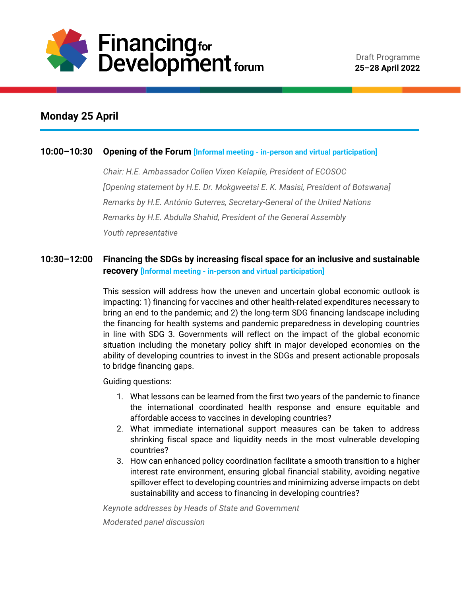

# **Monday 25 April**

#### **10:00–10:30 Opening of the Forum [Informal meeting - in-person and virtual participation]**

*Chair: H.E. Ambassador Collen Vixen Kelapile, President of ECOSOC [Opening statement by H.E. Dr. Mokgweetsi E. K. Masisi, President of Botswana] Remarks by H.E. António Guterres, Secretary-General of the United Nations Remarks by H.E. Abdulla Shahid, President of the General Assembly Youth representative*

# **10:30–12:00 Financing the SDGs by increasing fiscal space for an inclusive and sustainable recovery [Informal meeting - in-person and virtual participation]**

This session will address how the uneven and uncertain global economic outlook is impacting: 1) financing for vaccines and other health-related expenditures necessary to bring an end to the pandemic; and 2) the long-term SDG financing landscape including the financing for health systems and pandemic preparedness in developing countries in line with SDG 3. Governments will reflect on the impact of the global economic situation including the monetary policy shift in major developed economies on the ability of developing countries to invest in the SDGs and present actionable proposals to bridge financing gaps.

Guiding questions:

- 1. What lessons can be learned from the first two years of the pandemic to finance the international coordinated health response and ensure equitable and affordable access to vaccines in developing countries?
- 2. What immediate international support measures can be taken to address shrinking fiscal space and liquidity needs in the most vulnerable developing countries?
- 3. How can enhanced policy coordination facilitate a smooth transition to a higher interest rate environment, ensuring global financial stability, avoiding negative spillover effect to developing countries and minimizing adverse impacts on debt sustainability and access to financing in developing countries?

*Keynote addresses by Heads of State and Government Moderated panel discussion*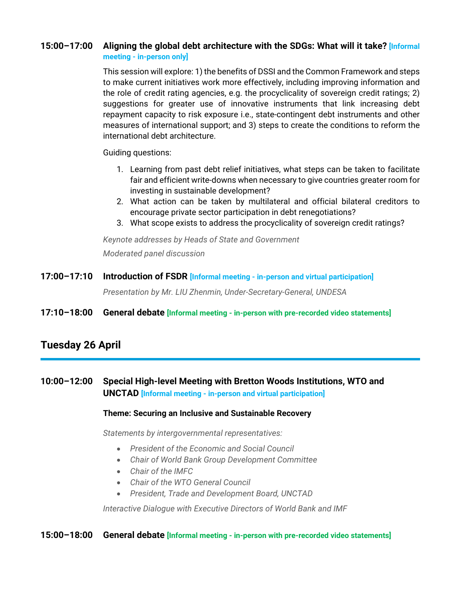#### **15:00–17:00 Aligning the global debt architecture with the SDGs: What will it take? [Informal meeting - in-person only]**

This session will explore: 1) the benefits of DSSI and the Common Framework and steps to make current initiatives work more effectively, including improving information and the role of credit rating agencies, e.g. the procyclicality of sovereign credit ratings; 2) suggestions for greater use of innovative instruments that link increasing debt repayment capacity to risk exposure i.e., state-contingent debt instruments and other measures of international support; and 3) steps to create the conditions to reform the international debt architecture.

Guiding questions:

- 1. Learning from past debt relief initiatives, what steps can be taken to facilitate fair and efficient write-downs when necessary to give countries greater room for investing in sustainable development?
- 2. What action can be taken by multilateral and official bilateral creditors to encourage private sector participation in debt renegotiations?
- 3. What scope exists to address the procyclicality of sovereign credit ratings?

*Keynote addresses by Heads of State and Government Moderated panel discussion*

**17:00–17:10 Introduction of FSDR [Informal meeting - in-person and virtual participation]** *Presentation by Mr. LIU Zhenmin, Under-Secretary-General, UNDESA* **17:10–18:00 General debate [Informal meeting - in-person with pre-recorded video statements]**

# **Tuesday 26 April**

# **10:00–12:00 Special High-level Meeting with Bretton Woods Institutions, WTO and UNCTAD [Informal meeting - in-person and virtual participation]**

#### **Theme: Securing an Inclusive and Sustainable Recovery**

*Statements by intergovernmental representatives:*

- *President of the Economic and Social Council*
- *Chair of World Bank Group Development Committee*
- *Chair of the IMFC*
- *Chair of the WTO General Council*
- *President, Trade and Development Board, UNCTAD*

*Interactive Dialogue with Executive Directors of World Bank and IMF*

#### **15:00–18:00 General debate [Informal meeting - in-person with pre-recorded video statements]**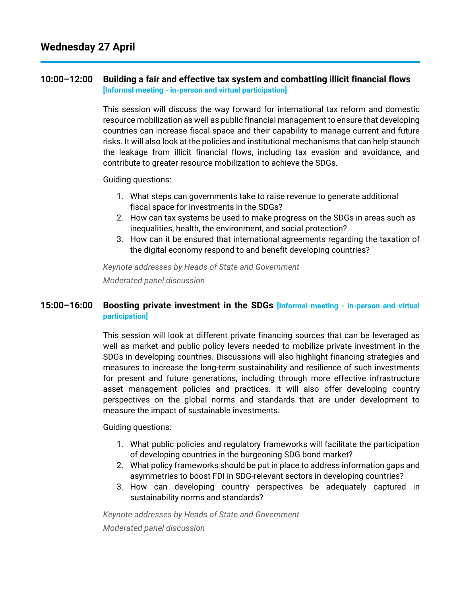#### **10:00–12:00 Building a fair and effective tax system and combatting illicit financial flows [Informal meeting - in-person and virtual participation]**

This session will discuss the way forward for international tax reform and domestic resource mobilization as well as public financial management to ensure that developing countries can increase fiscal space and their capability to manage current and future risks. It will also look at the policies and institutional mechanisms that can help staunch the leakage from illicit financial flows, including tax evasion and avoidance, and contribute to greater resource mobilization to achieve the SDGs.

Guiding questions:

- 1. What steps can governments take to raise revenue to generate additional fiscal space for investments in the SDGs?
- 2. How can tax systems be used to make progress on the SDGs in areas such as inequalities, health, the environment, and social protection?
- 3. How can it be ensured that international agreements regarding the taxation of the digital economy respond to and benefit developing countries?

*Keynote addresses by Heads of State and Government Moderated panel discussion*

### **15:00–16:00 Boosting private investment in the SDGs [Informal meeting - in-person and virtual participation]**

This session will look at different private financing sources that can be leveraged as well as market and public policy levers needed to mobilize private investment in the SDGs in developing countries. Discussions will also highlight financing strategies and measures to increase the long-term sustainability and resilience of such investments for present and future generations, including through more effective infrastructure asset management policies and practices. It will also offer developing country perspectives on the global norms and standards that are under development to measure the impact of sustainable investments.

Guiding questions:

- 1. What public policies and regulatory frameworks will facilitate the participation of developing countries in the burgeoning SDG bond market?
- 2. What policy frameworks should be put in place to address information gaps and asymmetries to boost FDI in SDG-relevant sectors in developing countries?
- 3. How can developing country perspectives be adequately captured in sustainability norms and standards?

*Keynote addresses by Heads of State and Government Moderated panel discussion*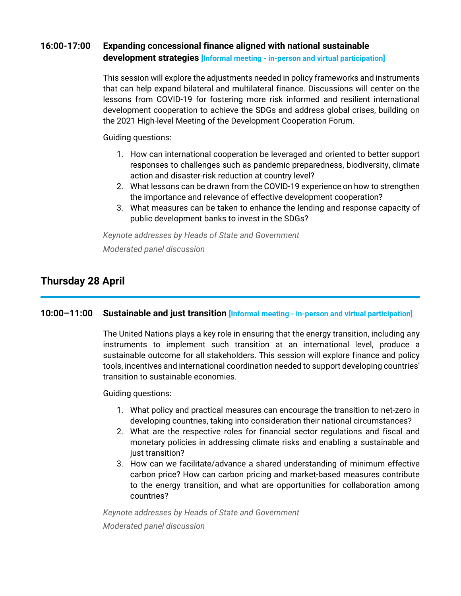### **16:00-17:00 Expanding concessional finance aligned with national sustainable development strategies [Informal meeting - in-person and virtual participation]**

This session will explore the adjustments needed in policy frameworks and instruments that can help expand bilateral and multilateral finance. Discussions will center on the lessons from COVID-19 for fostering more risk informed and resilient international development cooperation to achieve the SDGs and address global crises, building on the 2021 High-level Meeting of the Development Cooperation Forum.

Guiding questions:

- 1. How can international cooperation be leveraged and oriented to better support responses to challenges such as pandemic preparedness, biodiversity, climate action and disaster-risk reduction at country level?
- 2. What lessons can be drawn from the COVID-19 experience on how to strengthen the importance and relevance of effective development cooperation?
- 3. What measures can be taken to enhance the lending and response capacity of public development banks to invest in the SDGs?

*Keynote addresses by Heads of State and Government Moderated panel discussion*

# **Thursday 28 April**

### **10:00–11:00 Sustainable and just transition [Informal meeting - in-person and virtual participation]**

The United Nations plays a key role in ensuring that the energy transition, including any instruments to implement such transition at an international level, produce a sustainable outcome for all stakeholders. This session will explore finance and policy tools, incentives and international coordination needed to support developing countries' transition to sustainable economies.

Guiding questions:

- 1. What policy and practical measures can encourage the transition to net-zero in developing countries, taking into consideration their national circumstances?
- 2. What are the respective roles for financial sector regulations and fiscal and monetary policies in addressing climate risks and enabling a sustainable and just transition?
- 3. How can we facilitate/advance a shared understanding of minimum effective carbon price? How can carbon pricing and market-based measures contribute to the energy transition, and what are opportunities for collaboration among countries?

*Keynote addresses by Heads of State and Government Moderated panel discussion*